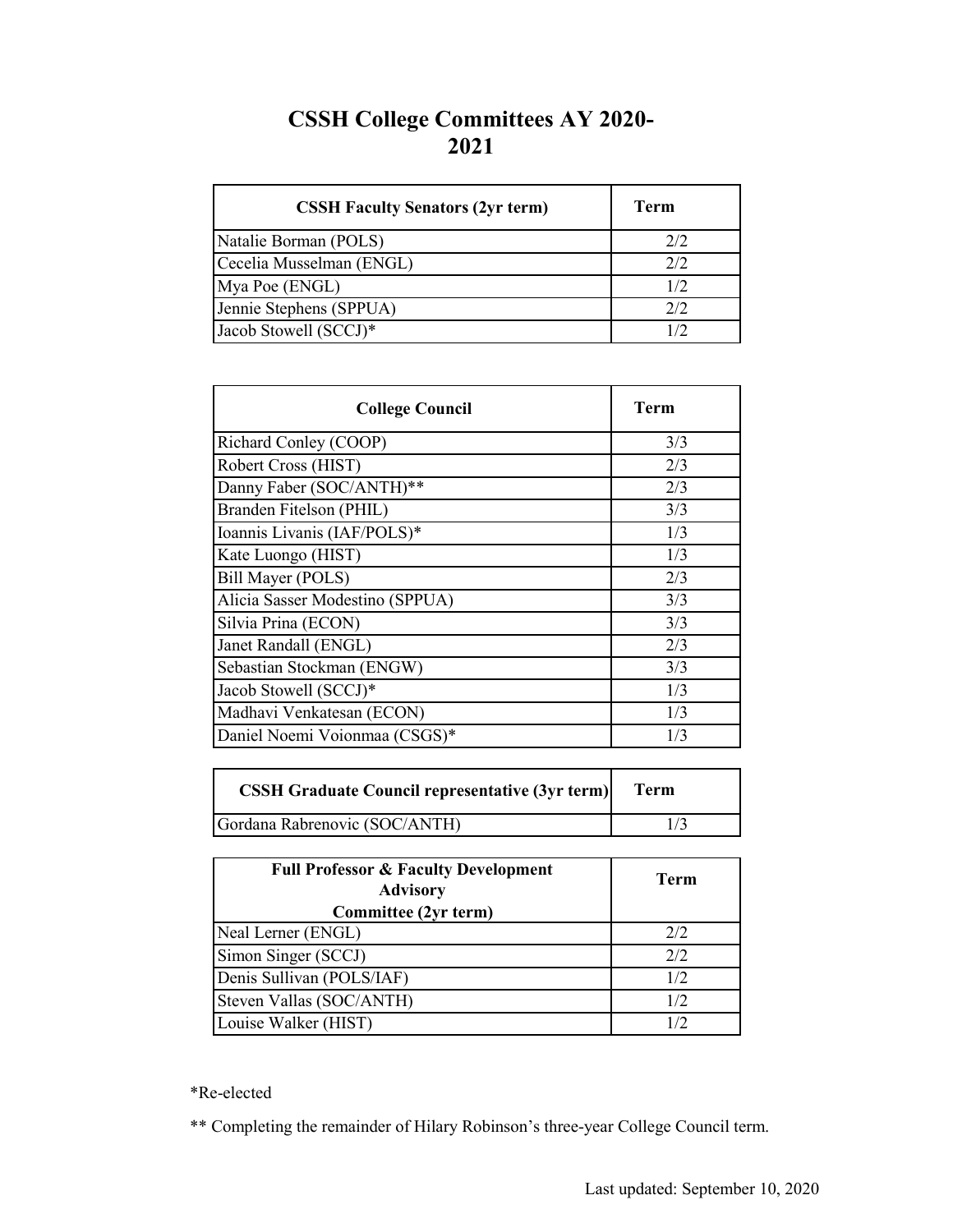## **CSSH College Committees AY 2020- 2021**

| <b>CSSH Faculty Senators (2yr term)</b> | Term |
|-----------------------------------------|------|
| Natalie Borman (POLS)                   | 2/2  |
| Cecelia Musselman (ENGL)                | 2/2  |
| Mya Poe (ENGL)                          | 1/2  |
| Jennie Stephens (SPPUA)                 | 2/2  |
| Jacob Stowell (SCCJ)*                   | 1/2  |

| <b>College Council</b>          | Term |
|---------------------------------|------|
| Richard Conley (COOP)           | 3/3  |
| Robert Cross (HIST)             | 2/3  |
| Danny Faber (SOC/ANTH)**        | 2/3  |
| Branden Fitelson (PHIL)         | 3/3  |
| Ioannis Livanis (IAF/POLS)*     | 1/3  |
| Kate Luongo (HIST)              | 1/3  |
| Bill Mayer (POLS)               | 2/3  |
| Alicia Sasser Modestino (SPPUA) | 3/3  |
| Silvia Prina (ECON)             | 3/3  |
| Janet Randall (ENGL)            | 2/3  |
| Sebastian Stockman (ENGW)       | 3/3  |
| Jacob Stowell (SCCJ)*           | 1/3  |
| Madhavi Venkatesan (ECON)       | 1/3  |
| Daniel Noemi Voionmaa (CSGS)*   | 1/3  |

| <b>CSSH Graduate Council representative (3yr term)</b> | Term |
|--------------------------------------------------------|------|
| Gordana Rabrenovic (SOC/ANTH)                          |      |

| <b>Full Professor &amp; Faculty Development</b><br><b>Advisory</b><br>Committee (2yr term) | Term |
|--------------------------------------------------------------------------------------------|------|
| Neal Lerner (ENGL)                                                                         | 2/2  |
| Simon Singer (SCCJ)                                                                        | 2/2  |
| Denis Sullivan (POLS/IAF)                                                                  | 1/2  |
| Steven Vallas (SOC/ANTH)                                                                   | 1/2  |
| Louise Walker (HIST)                                                                       | 1/2  |

\*Re-elected

\*\* Completing the remainder of Hilary Robinson's three-year College Council term.